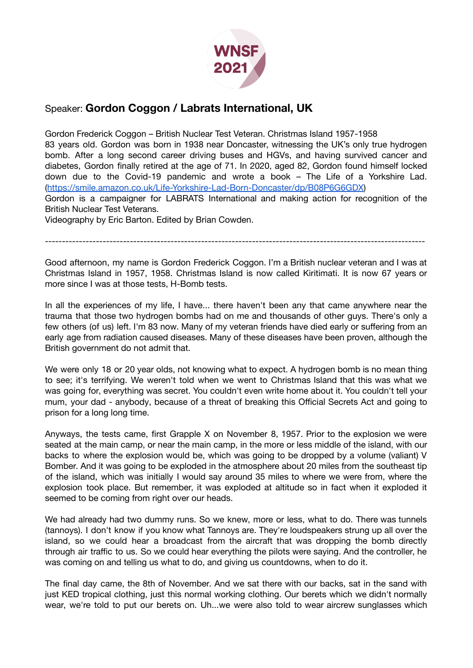

## Speaker: **Gordon Coggon / Labrats International, UK**

Gordon Frederick Coggon – British Nuclear Test Veteran. Christmas Island 1957-1958 83 years old. Gordon was born in 1938 near Doncaster, witnessing the UK's only true hydrogen bomb. After a long second career driving buses and HGVs, and having survived cancer and diabetes, Gordon finally retired at the age of 71. In 2020, aged 82, Gordon found himself locked down due to the Covid-19 pandemic and wrote a book – The Life of a Yorkshire Lad. (<https://smile.amazon.co.uk/Life-Yorkshire-Lad-Born-Doncaster/dp/B08P6G6GDX>)

Gordon is a campaigner for LABRATS International and making action for recognition of the British Nuclear Test Veterans.

Videography by Eric Barton. Edited by Brian Cowden.

----------------------------------------------------------------------------------------------------------------

Good afternoon, my name is Gordon Frederick Coggon. I'm a British nuclear veteran and I was at Christmas Island in 1957, 1958. Christmas Island is now called Kiritimati. It is now 67 years or more since I was at those tests, H-Bomb tests.

In all the experiences of my life, I have... there haven't been any that came anywhere near the trauma that those two hydrogen bombs had on me and thousands of other guys. There's only a few others (of us) left. I'm 83 now. Many of my veteran friends have died early or suffering from an early age from radiation caused diseases. Many of these diseases have been proven, although the British government do not admit that.

We were only 18 or 20 year olds, not knowing what to expect. A hydrogen bomb is no mean thing to see; it's terrifying. We weren't told when we went to Christmas Island that this was what we was going for, everything was secret. You couldn't even write home about it. You couldn't tell your mum, your dad - anybody, because of a threat of breaking this Official Secrets Act and going to prison for a long long time.

Anyways, the tests came, first Grapple X on November 8, 1957. Prior to the explosion we were seated at the main camp, or near the main camp, in the more or less middle of the island, with our backs to where the explosion would be, which was going to be dropped by a volume (valiant) V Bomber. And it was going to be exploded in the atmosphere about 20 miles from the southeast tip of the island, which was initially I would say around 35 miles to where we were from, where the explosion took place. But remember, it was exploded at altitude so in fact when it exploded it seemed to be coming from right over our heads.

We had already had two dummy runs. So we knew, more or less, what to do. There was tunnels (tannoys). I don't know if you know what Tannoys are. They're loudspeakers strung up all over the island, so we could hear a broadcast from the aircraft that was dropping the bomb directly through air traffic to us. So we could hear everything the pilots were saying. And the controller, he was coming on and telling us what to do, and giving us countdowns, when to do it.

The final day came, the 8th of November. And we sat there with our backs, sat in the sand with just KED tropical clothing, just this normal working clothing. Our berets which we didn't normally wear, we're told to put our berets on. Uh...we were also told to wear aircrew sunglasses which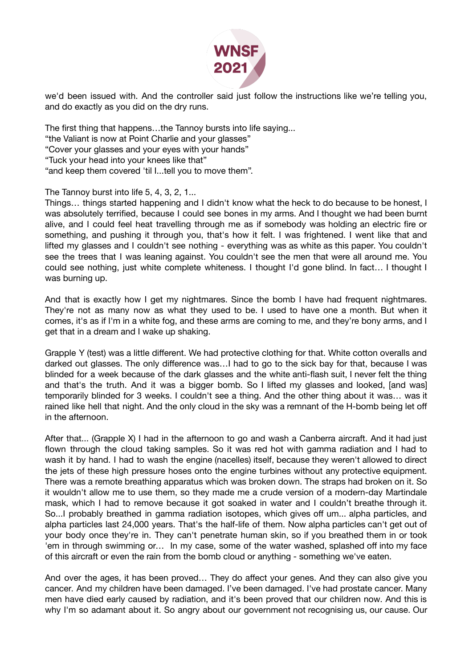

we'd been issued with. And the controller said just follow the instructions like we're telling you, and do exactly as you did on the dry runs.

The first thing that happens…the Tannoy bursts into life saying...

"the Valiant is now at Point Charlie and your glasses"

"Cover your glasses and your eyes with your hands"

"Tuck your head into your knees like that"

"and keep them covered 'til I...tell you to move them".

The Tannoy burst into life 5, 4, 3, 2, 1...

Things… things started happening and I didn't know what the heck to do because to be honest, I was absolutely terrified, because I could see bones in my arms. And I thought we had been burnt alive, and I could feel heat travelling through me as if somebody was holding an electric fire or something, and pushing it through you, that's how it felt. I was frightened. I went like that and lifted my glasses and I couldn't see nothing - everything was as white as this paper. You couldn't see the trees that I was leaning against. You couldn't see the men that were all around me. You could see nothing, just white complete whiteness. I thought I'd gone blind. In fact… I thought I was burning up.

And that is exactly how I get my nightmares. Since the bomb I have had frequent nightmares. They're not as many now as what they used to be. I used to have one a month. But when it comes, it's as if I'm in a white fog, and these arms are coming to me, and they're bony arms, and I get that in a dream and I wake up shaking.

Grapple Y (test) was a little different. We had protective clothing for that. White cotton overalls and darked out glasses. The only difference was…I had to go to the sick bay for that, because I was blinded for a week because of the dark glasses and the white anti-flash suit, I never felt the thing and that's the truth. And it was a bigger bomb. So I lifted my glasses and looked, [and was] temporarily blinded for 3 weeks. I couldn't see a thing. And the other thing about it was… was it rained like hell that night. And the only cloud in the sky was a remnant of the H-bomb being let off in the afternoon.

After that... (Grapple X) I had in the afternoon to go and wash a Canberra aircraft. And it had just flown through the cloud taking samples. So it was red hot with gamma radiation and I had to wash it by hand. I had to wash the engine (nacelles) itself, because they weren't allowed to direct the jets of these high pressure hoses onto the engine turbines without any protective equipment. There was a remote breathing apparatus which was broken down. The straps had broken on it. So it wouldn't allow me to use them, so they made me a crude version of a modern-day Martindale mask, which I had to remove because it got soaked in water and I couldn't breathe through it. So...I probably breathed in gamma radiation isotopes, which gives off um... alpha particles, and alpha particles last 24,000 years. That's the half-life of them. Now alpha particles can't get out of your body once they're in. They can't penetrate human skin, so if you breathed them in or took 'em in through swimming or… In my case, some of the water washed, splashed off into my face of this aircraft or even the rain from the bomb cloud or anything - something we've eaten.

And over the ages, it has been proved… They do affect your genes. And they can also give you cancer. And my children have been damaged. I've been damaged. I've had prostate cancer. Many men have died early caused by radiation, and it's been proved that our children now. And this is why I'm so adamant about it. So angry about our government not recognising us, our cause. Our